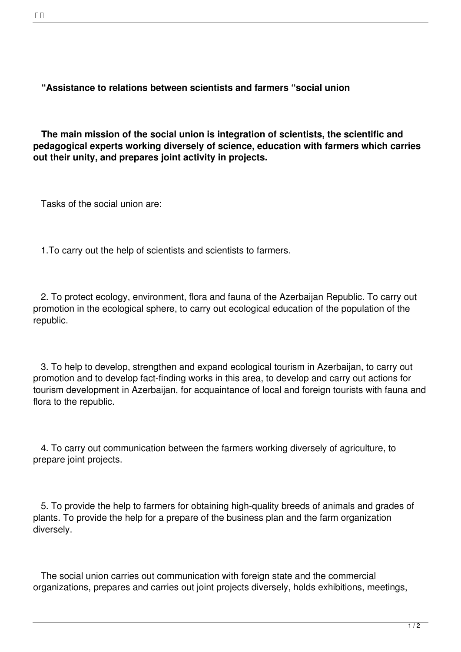**The main mission of the social union is integration of scientists, the scientific and pedagogical experts working diversely of science, education with farmers which carries out their unity, and prepares joint activity in projects.**

Tasks of the social union are:

1.To carry out the help of scientists and scientists to farmers.

 2. To protect ecology, environment, flora and fauna of the Azerbaijan Republic. To carry out promotion in the ecological sphere, to carry out ecological education of the population of the .<br>republic.

 3. To help to develop, strengthen and expand ecological tourism in Azerbaijan, to carry out promotion and to develop fact-finding works in this area, to develop and carry out actions for tourism development in Azerbaijan, for acquaintance of local and foreign tourists with fauna and flora to the republic.

 4. To carry out communication between the farmers working diversely of agriculture, to prepare joint projects.

 5. To provide the help to farmers for obtaining high-quality breeds of animals and grades of plants. To provide the help for a prepare of the business plan and the farm organization diversely.

 The social union carries out communication with foreign state and the commercial organizations, prepares and carries out joint projects diversely, holds exhibitions, meetings,